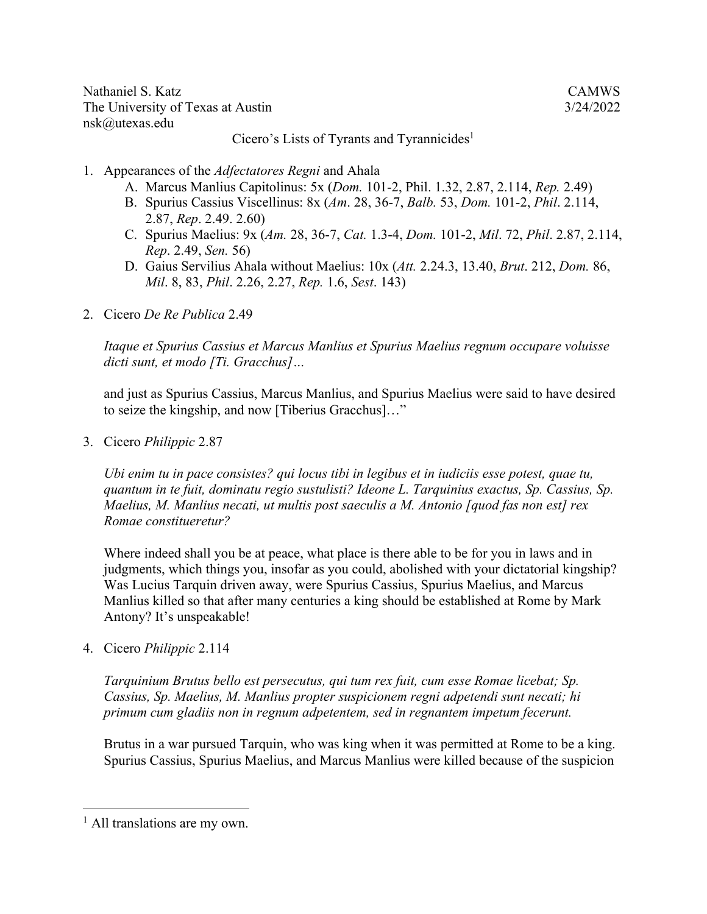Nathaniel S. Katz CAMWS The University of Texas at Austin 3/24/2022 nsk@utexas.edu

Cicero's Lists of Tyrants and Tyrannicides<sup>1</sup>

- 1. Appearances of the *Adfectatores Regni* and Ahala
	- A. Marcus Manlius Capitolinus: 5x (*Dom.* 101-2, Phil. 1.32, 2.87, 2.114, *Rep.* 2.49)
	- B. Spurius Cassius Viscellinus: 8x (*Am*. 28, 36-7, *Balb.* 53, *Dom.* 101-2, *Phil*. 2.114, 2.87, *Rep*. 2.49. 2.60)
	- C. Spurius Maelius: 9x (*Am.* 28, 36-7, *Cat.* 1.3-4, *Dom.* 101-2, *Mil*. 72, *Phil*. 2.87, 2.114, *Rep*. 2.49, *Sen.* 56)
	- D. Gaius Servilius Ahala without Maelius: 10x (*Att.* 2.24.3, 13.40, *Brut*. 212, *Dom.* 86, *Mil*. 8, 83, *Phil*. 2.26, 2.27, *Rep.* 1.6, *Sest*. 143)
- 2. Cicero *De Re Publica* 2.49

*Itaque et Spurius Cassius et Marcus Manlius et Spurius Maelius regnum occupare voluisse dicti sunt, et modo [Ti. Gracchus]…*

and just as Spurius Cassius, Marcus Manlius, and Spurius Maelius were said to have desired to seize the kingship, and now [Tiberius Gracchus]…"

3. Cicero *Philippic* 2.87

*Ubi enim tu in pace consistes? qui locus tibi in legibus et in iudiciis esse potest, quae tu, quantum in te fuit, dominatu regio sustulisti? Ideone L. Tarquinius exactus, Sp. Cassius, Sp. Maelius, M. Manlius necati, ut multis post saeculis a M. Antonio [quod fas non est] rex Romae constitueretur?*

Where indeed shall you be at peace, what place is there able to be for you in laws and in judgments, which things you, insofar as you could, abolished with your dictatorial kingship? Was Lucius Tarquin driven away, were Spurius Cassius, Spurius Maelius, and Marcus Manlius killed so that after many centuries a king should be established at Rome by Mark Antony? It's unspeakable!

4. Cicero *Philippic* 2.114

*Tarquinium Brutus bello est persecutus, qui tum rex fuit, cum esse Romae licebat; Sp. Cassius, Sp. Maelius, M. Manlius propter suspicionem regni adpetendi sunt necati; hi primum cum gladiis non in regnum adpetentem, sed in regnantem impetum fecerunt.* 

Brutus in a war pursued Tarquin, who was king when it was permitted at Rome to be a king. Spurius Cassius, Spurius Maelius, and Marcus Manlius were killed because of the suspicion

 $<sup>1</sup>$  All translations are my own.</sup>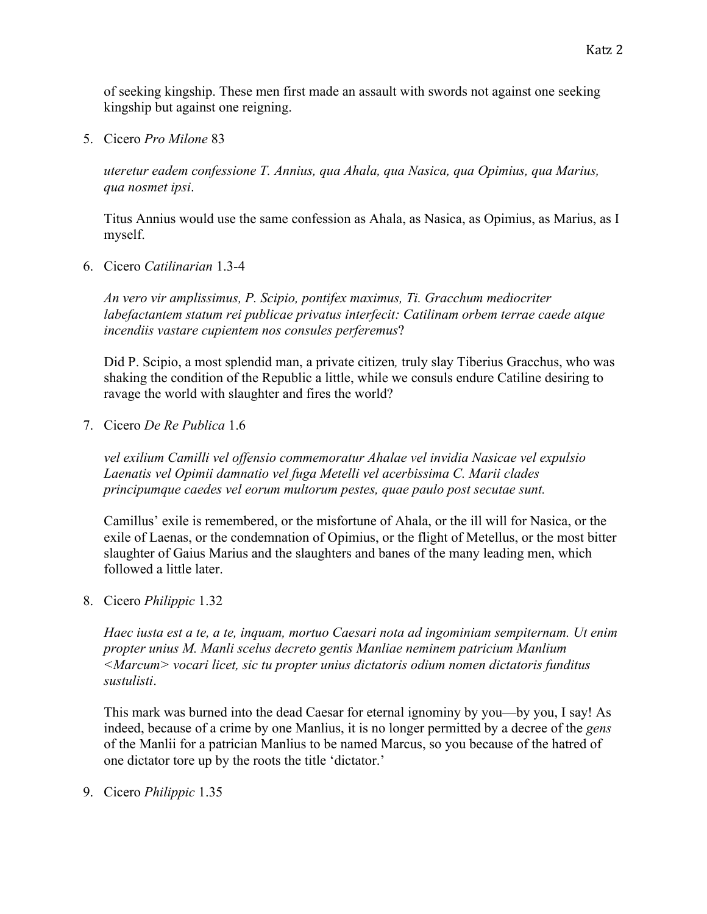5. Cicero *Pro Milone* 83

kingship but against one reigning.

*uteretur eadem confessione T. Annius, qua Ahala, qua Nasica, qua Opimius, qua Marius, qua nosmet ipsi*.

Titus Annius would use the same confession as Ahala, as Nasica, as Opimius, as Marius, as I myself.

6. Cicero *Catilinarian* 1.3-4

*An vero vir amplissimus, P. Scipio, pontifex maximus, Ti. Gracchum mediocriter labefactantem statum rei publicae privatus interfecit: Catilinam orbem terrae caede atque incendiis vastare cupientem nos consules perferemus*?

Did P. Scipio, a most splendid man, a private citizen*,* truly slay Tiberius Gracchus, who was shaking the condition of the Republic a little, while we consuls endure Catiline desiring to ravage the world with slaughter and fires the world?

7. Cicero *De Re Publica* 1.6

*vel exilium Camilli vel offensio commemoratur Ahalae vel invidia Nasicae vel expulsio Laenatis vel Opimii damnatio vel fuga Metelli vel acerbissima C. Marii clades principumque caedes vel eorum multorum pestes, quae paulo post secutae sunt.*

Camillus' exile is remembered, or the misfortune of Ahala, or the ill will for Nasica, or the exile of Laenas, or the condemnation of Opimius, or the flight of Metellus, or the most bitter slaughter of Gaius Marius and the slaughters and banes of the many leading men, which followed a little later.

8. Cicero *Philippic* 1.32

*Haec iusta est a te, a te, inquam, mortuo Caesari nota ad ingominiam sempiternam. Ut enim propter unius M. Manli scelus decreto gentis Manliae neminem patricium Manlium <Marcum> vocari licet, sic tu propter unius dictatoris odium nomen dictatoris funditus sustulisti*.

This mark was burned into the dead Caesar for eternal ignominy by you—by you, I say! As indeed, because of a crime by one Manlius, it is no longer permitted by a decree of the *gens*  of the Manlii for a patrician Manlius to be named Marcus, so you because of the hatred of one dictator tore up by the roots the title 'dictator.'

9. Cicero *Philippic* 1.35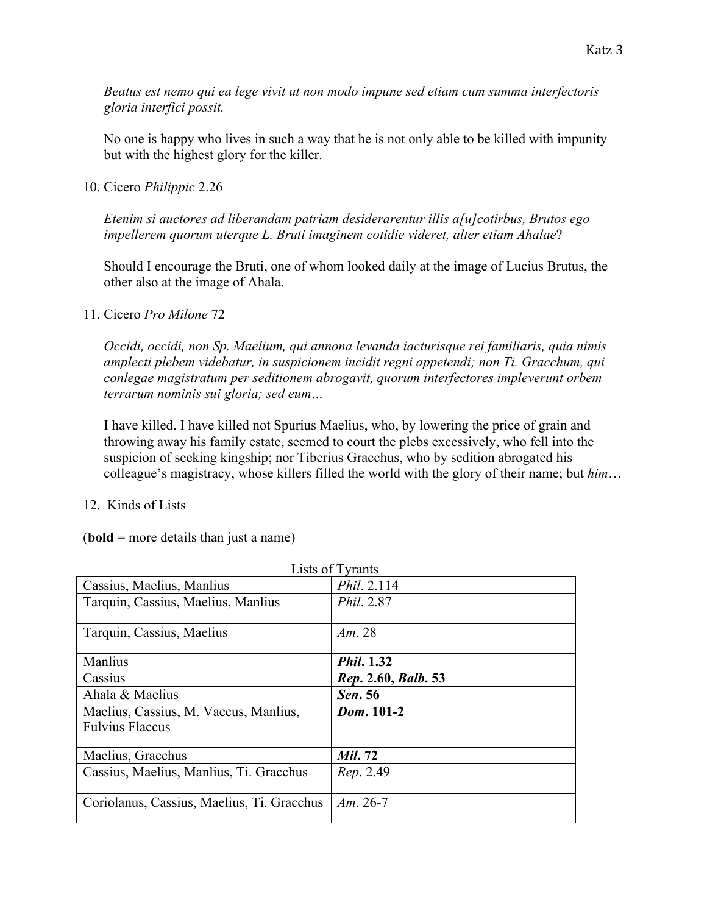*Beatus est nemo qui ea lege vivit ut non modo impune sed etiam cum summa interfectoris gloria interfici possit.*

No one is happy who lives in such a way that he is not only able to be killed with impunity but with the highest glory for the killer.

10. Cicero *Philippic* 2.26

*Etenim si auctores ad liberandam patriam desiderarentur illis a[u]cotirbus, Brutos ego impellerem quorum uterque L. Bruti imaginem cotidie videret, alter etiam Ahalae*?

Should I encourage the Bruti, one of whom looked daily at the image of Lucius Brutus, the other also at the image of Ahala.

11. Cicero *Pro Milone* 72

*Occidi, occidi, non Sp. Maelium, qui annona levanda iacturisque rei familiaris, quia nimis amplecti plebem videbatur, in suspicionem incidit regni appetendi; non Ti. Gracchum, qui conlegae magistratum per seditionem abrogavit, quorum interfectores impleverunt orbem terrarum nominis sui gloria; sed eum…*

I have killed. I have killed not Spurius Maelius, who, by lowering the price of grain and throwing away his family estate, seemed to court the plebs excessively, who fell into the suspicion of seeking kingship; nor Tiberius Gracchus, who by sedition abrogated his colleague's magistracy, whose killers filled the world with the glory of their name; but *him*…

12. Kinds of Lists

(**bold** = more details than just a name)

| Lists of Tyrants                           |                     |
|--------------------------------------------|---------------------|
| Cassius, Maelius, Manlius                  | Phil. 2.114         |
| Tarquin, Cassius, Maelius, Manlius         | Phil. 2.87          |
| Tarquin, Cassius, Maelius                  | Am. $28$            |
| Manlius                                    | <i>Phil.</i> 1.32   |
| Cassius                                    | Rep. 2.60, Balb. 53 |
| Ahala & Maelius                            | Sen. 56             |
| Maelius, Cassius, M. Vaccus, Manlius,      | Dom. 101-2          |
| <b>Fulvius Flaccus</b>                     |                     |
|                                            |                     |
| Maelius, Gracchus                          | <b>Mil. 72</b>      |
| Cassius, Maelius, Manlius, Ti. Gracchus    | Rep. 2.49           |
|                                            |                     |
| Coriolanus, Cassius, Maelius, Ti. Gracchus | $Am. 26-7$          |
|                                            |                     |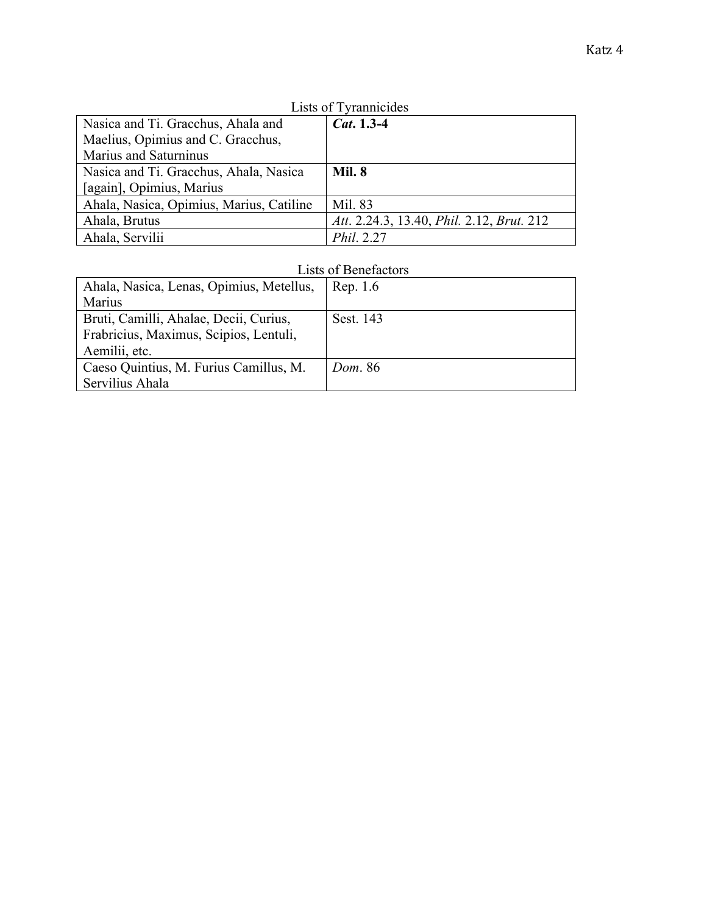| I<br>٠<br>× |  |
|-------------|--|
|-------------|--|

| Lists of Tyrannicides                    |                                           |
|------------------------------------------|-------------------------------------------|
| Nasica and Ti. Gracchus, Ahala and       | <i>Cat.</i> $1.3-4$                       |
| Maelius, Opimius and C. Gracchus,        |                                           |
| Marius and Saturninus                    |                                           |
| Nasica and Ti. Gracchus, Ahala, Nasica   | <b>Mil. 8</b>                             |
| [again], Opimius, Marius                 |                                           |
| Ahala, Nasica, Opimius, Marius, Catiline | Mil. 83                                   |
| Ahala, Brutus                            | Att. 2.24.3, 13.40, Phil. 2.12, Brut. 212 |
| Ahala, Servilii                          | Phil. 2.27                                |

## Lists of Tyrannicide

## Lists of Benefactors

| Ahala, Nasica, Lenas, Opimius, Metellus, | Rep. 1.6       |
|------------------------------------------|----------------|
| Marius                                   |                |
| Bruti, Camilli, Ahalae, Decii, Curius,   | Sest. 143      |
| Frabricius, Maximus, Scipios, Lentuli,   |                |
| Aemilii, etc.                            |                |
| Caeso Quintius, M. Furius Camillus, M.   | <i>Dom.</i> 86 |
| Servilius Ahala                          |                |